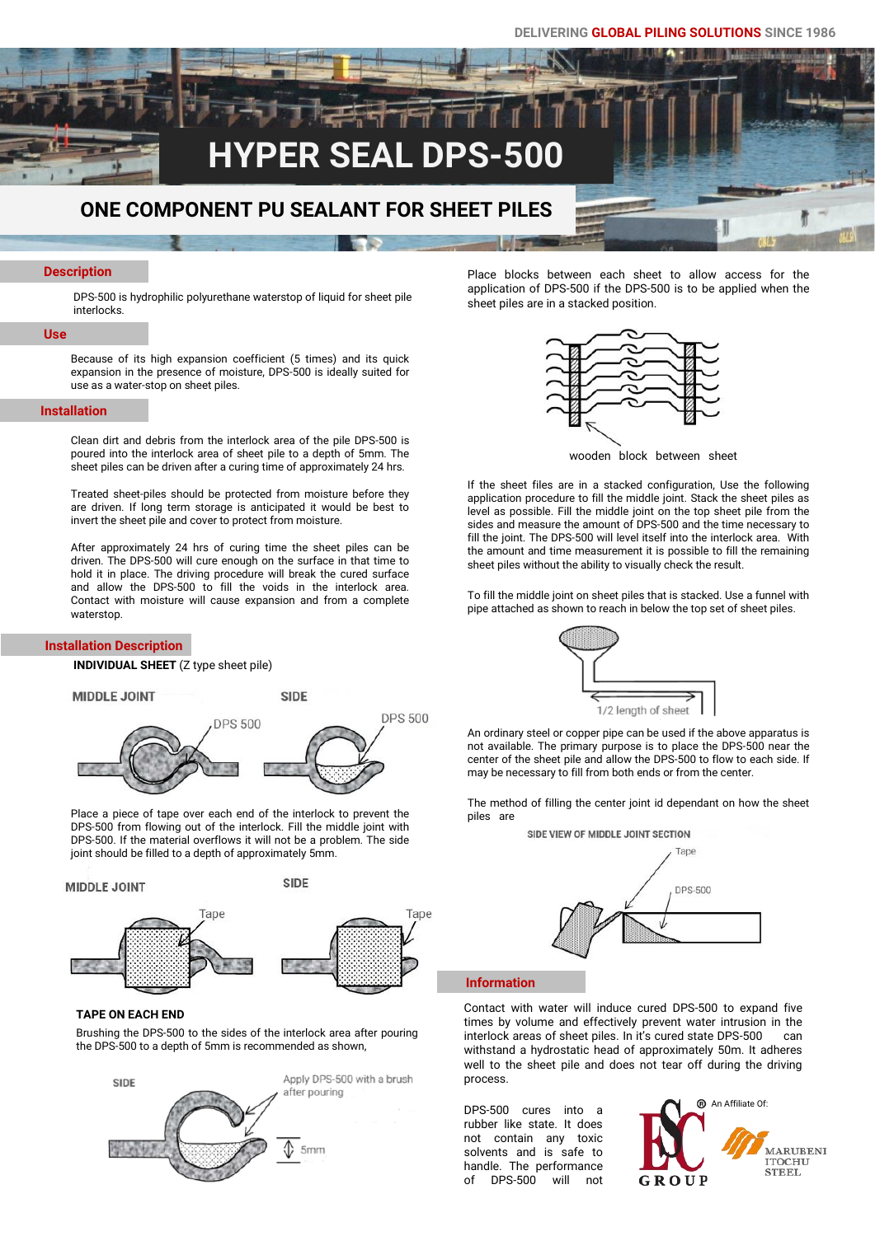# **HYPER SEAL DPS-500**

### **ONE COMPONENT PU SEALANT FOR SHEET PILES**

### **Description**

DPS-500 is hydrophilic polyurethane waterstop of liquid for sheet pile interlocks.

### **Use**

Because of its high expansion coefficient (5 times) and its quick expansion in the presence of moisture, DPS-500 is ideally suited for use as a water-stop on sheet piles.

### **Installation**

Clean dirt and debris from the interlock area of the pile DPS-500 is poured into the interlock area of sheet pile to a depth of 5mm. The sheet piles can be driven after a curing time of approximately 24 hrs.

Treated sheet-piles should be protected from moisture before they are driven. If long term storage is anticipated it would be best to invert the sheet pile and cover to protect from moisture.

After approximately 24 hrs of curing time the sheet piles can be driven. The DPS-500 will cure enough on the surface in that time to hold it in place. The driving procedure will break the cured surface and allow the DPS-500 to fill the voids in the interlock area. Contact with moisture will cause expansion and from a complete waterstop.

### **Installation Description**

**INDIVIDUAL SHEET** (Z type sheet pile)

**MIDDLE JOINT** 

**SIDE DPS 500 DPS 500** 

Place a piece of tape over each end of the interlock to prevent the DPS-500 from flowing out of the interlock. Fill the middle joint with DPS-500. If the material overflows it will not be a problem. The side joint should be filled to a depth of approximately 5mm.

**SIDE MIDDLE JOINT** Tape Tape



Brushing the DPS-500 to the sides of the interlock area after pouring the DPS-500 to a depth of 5mm is recommended as shown,



Place blocks between each sheet to allow access for the application of DPS-500 if the DPS-500 is to be applied when the sheet piles are in a stacked position.



wooden block between sheet

If the sheet files are in a stacked configuration, Use the following application procedure to fill the middle joint. Stack the sheet piles as level as possible. Fill the middle joint on the top sheet pile from the sides and measure the amount of DPS-500 and the time necessary to fill the joint. The DPS-500 will level itself into the interlock area. With the amount and time measurement it is possible to fill the remaining sheet piles without the ability to visually check the result.

To fill the middle joint on sheet piles that is stacked. Use a funnel with pipe attached as shown to reach in below the top set of sheet piles.



An ordinary steel or copper pipe can be used if the above apparatus is not available. The primary purpose is to place the DPS-500 near the center of the sheet pile and allow the DPS-500 to flow to each side. If may be necessary to fill from both ends or from the center.

The method of filling the center joint id dependant on how the sheet piles are



#### **Information**

Contact with water will induce cured DPS-500 to expand five times by volume and effectively prevent water intrusion in the interlock areas of sheet piles. In it's cured state DPS-500 can withstand a hydrostatic head of approximately 50m. It adheres well to the sheet pile and does not tear off during the driving process.

DPS-500 cures into a rubber like state. It does not contain any toxic solvents and is safe to handle. The performance of DPS-500 will not